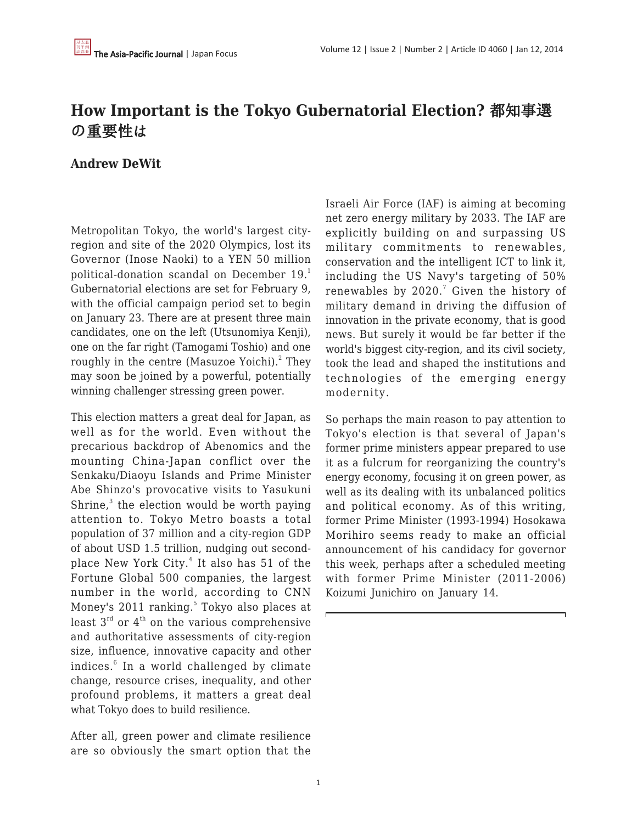## **How Important is the Tokyo Gubernatorial Election?** 都知事選 の重要性は

## **Andrew DeWit**

Metropolitan Tokyo, the world's largest cityregion and site of the 2020 Olympics, lost its Governor (Inose Naoki) to a YEN 50 million political-donation scandal on December 19.<sup>1</sup> Gubernatorial elections are set for February 9, with the official campaign period set to begin on January 23. There are at present three main candidates, one on the left (Utsunomiya Kenji), one on the far right (Tamogami Toshio) and one roughly in the centre (Masuzoe Yoichi). $^2$  They may soon be joined by a powerful, potentially winning challenger stressing green power.

This election matters a great deal for Japan, as well as for the world. Even without the precarious backdrop of Abenomics and the mounting China-Japan conflict over the Senkaku/Diaoyu Islands and Prime Minister Abe Shinzo's provocative visits to Yasukuni Shrine, $3$  the election would be worth paying attention to. Tokyo Metro boasts a total population of 37 million and a city-region GDP of about USD 1.5 trillion, nudging out secondplace New York City. $^4$  It also has 51 of the Fortune Global 500 companies, the largest number in the world, according to CNN Money's 2011 ranking.<sup>5</sup> Tokyo also places at least  $3^{rd}$  or  $4^{th}$  on the various comprehensive and authoritative assessments of city-region size, influence, innovative capacity and other indices.<sup>6</sup> In a world challenged by climate change, resource crises, inequality, and other profound problems, it matters a great deal what Tokyo does to build resilience.

After all, green power and climate resilience are so obviously the smart option that the Israeli Air Force (IAF) is aiming at becoming net zero energy military by 2033. The IAF are explicitly building on and surpassing US military commitments to renewables, conservation and the intelligent ICT to link it, including the US Navy's targeting of 50% renewables by 2020.<sup>7</sup> Given the history of military demand in driving the diffusion of innovation in the private economy, that is good news. But surely it would be far better if the world's biggest city-region, and its civil society, took the lead and shaped the institutions and technologies of the emerging energy modernity.

So perhaps the main reason to pay attention to Tokyo's election is that several of Japan's former prime ministers appear prepared to use it as a fulcrum for reorganizing the country's energy economy, focusing it on green power, as well as its dealing with its unbalanced politics and political economy. As of this writing, former Prime Minister (1993-1994) Hosokawa Morihiro seems ready to make an official announcement of his candidacy for governor this week, perhaps after a scheduled meeting with former Prime Minister (2011-2006) Koizumi Junichiro on January 14.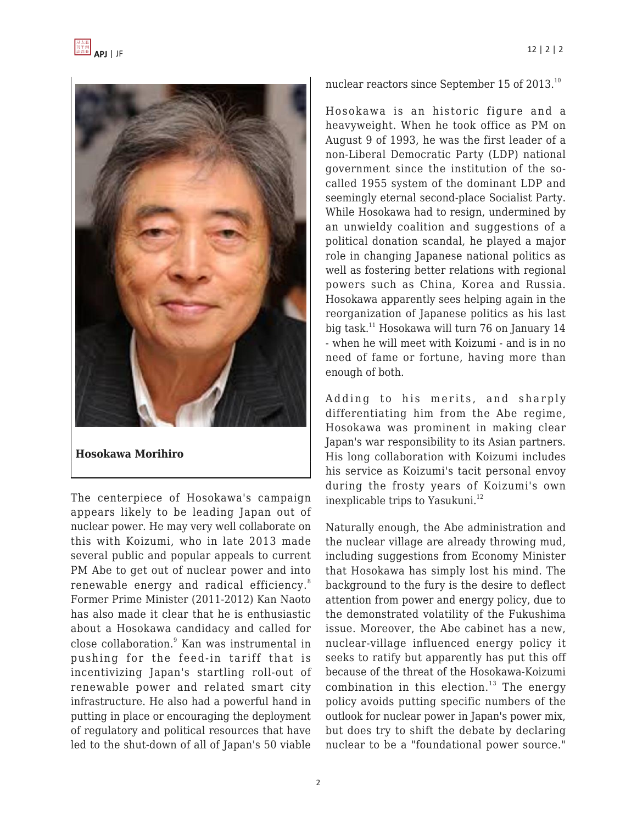

**Hosokawa Morihiro**

The centerpiece of Hosokawa's campaign appears likely to be leading Japan out of nuclear power. He may very well collaborate on this with Koizumi, who in late 2013 made several public and popular appeals to current PM Abe to get out of nuclear power and into renewable energy and radical efficiency.<sup>8</sup> Former Prime Minister (2011-2012) Kan Naoto has also made it clear that he is enthusiastic about a Hosokawa candidacy and called for close collaboration.<sup>9</sup> Kan was instrumental in pushing for the feed-in tariff that is incentivizing Japan's startling roll-out of renewable power and related smart city infrastructure. He also had a powerful hand in putting in place or encouraging the deployment of regulatory and political resources that have led to the shut-down of all of Japan's 50 viable nuclear reactors since September 15 of 2013.<sup>10</sup>

Hosokawa is an historic figure and a heavyweight. When he took office as PM on August 9 of 1993, he was the first leader of a non-Liberal Democratic Party (LDP) national government since the institution of the socalled 1955 system of the dominant LDP and seemingly eternal second-place Socialist Party. While Hosokawa had to resign, undermined by an unwieldy coalition and suggestions of a political donation scandal, he played a major role in changing Japanese national politics as well as fostering better relations with regional powers such as China, Korea and Russia. Hosokawa apparently sees helping again in the reorganization of Japanese politics as his last big task.<sup>11</sup> Hosokawa will turn 76 on January 14 - when he will meet with Koizumi - and is in no need of fame or fortune, having more than enough of both.

Adding to his merits, and sharply differentiating him from the Abe regime, Hosokawa was prominent in making clear Japan's war responsibility to its Asian partners. His long collaboration with Koizumi includes his service as Koizumi's tacit personal envoy during the frosty years of Koizumi's own inexplicable trips to Yasukuni.<sup>12</sup>

Naturally enough, the Abe administration and the nuclear village are already throwing mud, including suggestions from Economy Minister that Hosokawa has simply lost his mind. The background to the fury is the desire to deflect attention from power and energy policy, due to the demonstrated volatility of the Fukushima issue. Moreover, the Abe cabinet has a new, nuclear-village influenced energy policy it seeks to ratify but apparently has put this off because of the threat of the Hosokawa-Koizumi combination in this election. $13$  The energy policy avoids putting specific numbers of the outlook for nuclear power in Japan's power mix, but does try to shift the debate by declaring nuclear to be a "foundational power source."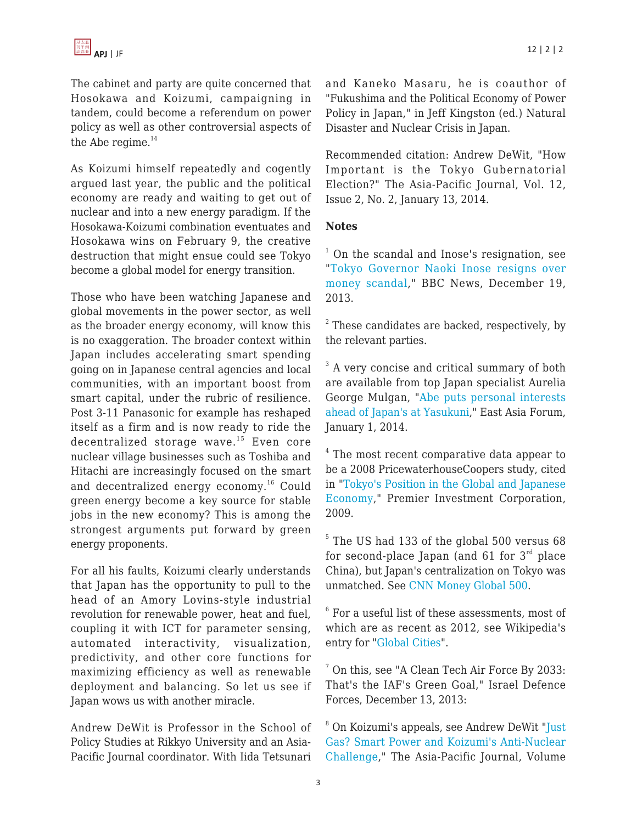The cabinet and party are quite concerned that Hosokawa and Koizumi, campaigning in tandem, could become a referendum on power policy as well as other controversial aspects of the Abe regime. $14$ 

As Koizumi himself repeatedly and cogently argued last year, the public and the political economy are ready and waiting to get out of nuclear and into a new energy paradigm. If the Hosokawa-Koizumi combination eventuates and Hosokawa wins on February 9, the creative destruction that might ensue could see Tokyo become a global model for energy transition.

Those who have been watching Japanese and global movements in the power sector, as well as the broader energy economy, will know this is no exaggeration. The broader context within Japan includes accelerating smart spending going on in Japanese central agencies and local communities, with an important boost from smart capital, under the rubric of resilience. Post 3-11 Panasonic for example has reshaped itself as a firm and is now ready to ride the decentralized storage wave.<sup>15</sup> Even core nuclear village businesses such as Toshiba and Hitachi are increasingly focused on the smart and decentralized energy economy.<sup>16</sup> Could green energy become a key source for stable jobs in the new economy? This is among the strongest arguments put forward by green energy proponents.

For all his faults, Koizumi clearly understands that Japan has the opportunity to pull to the head of an Amory Lovins-style industrial revolution for renewable power, heat and fuel, coupling it with ICT for parameter sensing, automated interactivity, visualization, predictivity, and other core functions for maximizing efficiency as well as renewable deployment and balancing. So let us see if Japan wows us with another miracle.

Andrew DeWit is Professor in the School of Policy Studies at Rikkyo University and an Asia-Pacific Journal coordinator. With Iida Tetsunari and Kaneko Masaru, he is coauthor of "Fukushima and the Political Economy of Power Policy in Japan," in Jeff Kingston (ed.) Natural Disaster and Nuclear Crisis in Japan.

Recommended citation: Andrew DeWit, "How Important is the Tokyo Gubernatorial Election?" The Asia-Pacific Journal, Vol. 12, Issue 2, No. 2, January 13, 2014.

## **Notes**

<sup>1</sup> On the scandal and Inose's resignation, see "[Tokyo Governor Naoki Inose resigns over](http://www.bbc.co.uk/news/world-asia-25443452) [money scandal](http://www.bbc.co.uk/news/world-asia-25443452)," BBC News, December 19, 2013.

 $2$  These candidates are backed, respectively, by the relevant parties.

<sup>3</sup> A very concise and critical summary of both are available from top Japan specialist Aurelia George Mulgan, ["Abe puts personal interests](http://www.eastasiaforum.org/2014/01/01/abe-puts-personal-interests-ahead-of-japans-at-yasukuni/) [ahead of Japan's at Yasukuni](http://www.eastasiaforum.org/2014/01/01/abe-puts-personal-interests-ahead-of-japans-at-yasukuni/)," East Asia Forum, January 1, 2014.

 $<sup>4</sup>$  The most recent comparative data appear to</sup> be a 2008 PricewaterhouseCoopers study, cited in ["Tokyo's Position in the Global and Japanese](http://www.pic-reit.co.jp/en/outline/japan2.html) [Economy](http://www.pic-reit.co.jp/en/outline/japan2.html)," Premier Investment Corporation, 2009.

<sup>5</sup> The US had 133 of the global 500 versus 68 for second-place Japan (and 61 for  $3^{rd}$  place China), but Japan's centralization on Tokyo was unmatched. See [CNN Money Global 500](http://money.cnn.com/magazines/fortune/global500/2011/full_list/).

 $^6$  For a useful list of these assessments, most of which are as recent as 2012, see Wikipedia's entry for ["Global Cities"](http://en.wikipedia.org/wiki/Global_city#Global_Cities_Index).

<sup>7</sup> On this, see "A Clean Tech Air Force By 2033: That's the IAF's Green Goal," Israel Defence Forces, December 13, 2013:

<sup>8</sup> On Koizumi's appeals, see Andrew DeWit ["Just](http://www.japanfocus.org/-Andrew-DeWit/4049) [Gas? Smart Power and Koizumi's Anti-Nuclear](http://www.japanfocus.org/-Andrew-DeWit/4049) [Challenge,](http://www.japanfocus.org/-Andrew-DeWit/4049)" The Asia-Pacific Journal, Volume